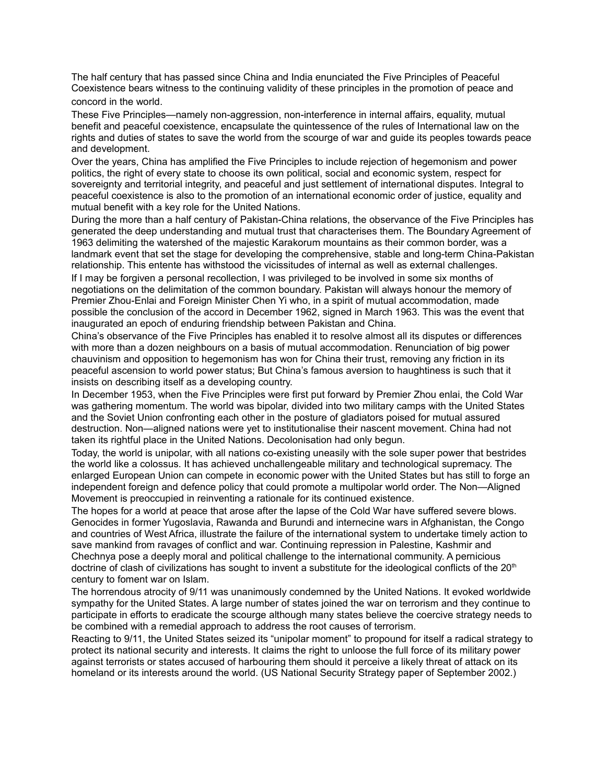The half century that has passed since China and India enunciated the Five Principles of Peaceful Coexistence bears witness to the continuing validity of these principles in the promotion of peace and concord in the world.

These Five Principles—namely non-aggression, non-interference in internal affairs, equality, mutual benefit and peaceful coexistence, encapsulate the quintessence of the rules of International law on the rights and duties of states to save the world from the scourge of war and guide its peoples towards peace and development.

Over the years, China has amplified the Five Principles to include rejection of hegemonism and power politics, the right of every state to choose its own political, social and economic system, respect for sovereignty and territorial integrity, and peaceful and just settlement of international disputes. Integral to peaceful coexistence is also to the promotion of an international economic order of justice, equality and mutual benefit with a key role for the United Nations.

During the more than a half century of Pakistan-China relations, the observance of the Five Principles has generated the deep understanding and mutual trust that characterises them. The Boundary Agreement of 1963 delimiting the watershed of the majestic Karakorum mountains as their common border, was a landmark event that set the stage for developing the comprehensive, stable and long-term China-Pakistan relationship. This entente has withstood the vicissitudes of internal as well as external challenges.

If I may be forgiven a personal recollection, I was privileged to be involved in some six months of negotiations on the delimitation of the common boundary. Pakistan will always honour the memory of Premier Zhou-Enlai and Foreign Minister Chen Yi who, in a spirit of mutual accommodation, made possible the conclusion of the accord in December 1962, signed in March 1963. This was the event that inaugurated an epoch of enduring friendship between Pakistan and China.

China's observance of the Five Principles has enabled it to resolve almost all its disputes or differences with more than a dozen neighbours on a basis of mutual accommodation. Renunciation of big power chauvinism and opposition to hegemonism has won for China their trust, removing any friction in its peaceful ascension to world power status; But China's famous aversion to haughtiness is such that it insists on describing itself as a developing country.

In December 1953, when the Five Principles were first put forward by Premier Zhou enlai, the Cold War was gathering momentum. The world was bipolar, divided into two military camps with the United States and the Soviet Union confronting each other in the posture of gladiators poised for mutual assured destruction. Non—aligned nations were yet to institutionalise their nascent movement. China had not taken its rightful place in the United Nations. Decolonisation had only begun.

Today, the world is unipolar, with all nations co-existing uneasily with the sole super power that bestrides the world like a colossus. It has achieved unchallengeable military and technological supremacy. The enlarged European Union can compete in economic power with the United States but has still to forge an independent foreign and defence policy that could promote a multipolar world order. The Non—Aligned Movement is preoccupied in reinventing a rationale for its continued existence.

The hopes for a world at peace that arose after the lapse of the Cold War have suffered severe blows. Genocides in former Yugoslavia, Rawanda and Burundi and internecine wars in Afghanistan, the Congo and countries of West Africa, illustrate the failure of the international system to undertake timely action to save mankind from ravages of conflict and war. Continuing repression in Palestine, Kashmir and Chechnya pose a deeply moral and political challenge to the international community. A pernicious doctrine of clash of civilizations has sought to invent a substitute for the ideological conflicts of the 20<sup>th</sup> century to foment war on Islam.

The horrendous atrocity of 9/11 was unanimously condemned by the United Nations. It evoked worldwide sympathy for the United States. A large number of states joined the war on terrorism and they continue to participate in efforts to eradicate the scourge although many states believe the coercive strategy needs to be combined with a remedial approach to address the root causes of terrorism.

Reacting to 9/11, the United States seized its "unipolar moment" to propound for itself a radical strategy to protect its national security and interests. It claims the right to unloose the full force of its military power against terrorists or states accused of harbouring them should it perceive a likely threat of attack on its homeland or its interests around the world. (US National Security Strategy paper of September 2002.)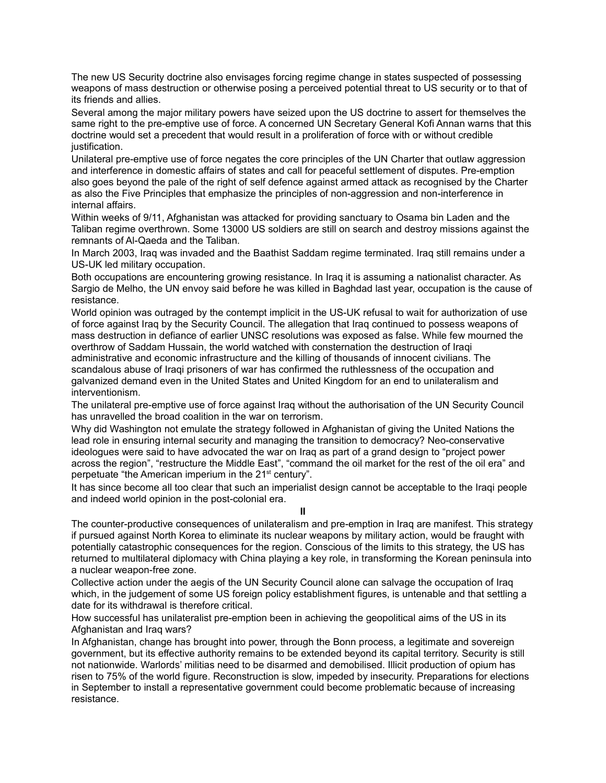The new US Security doctrine also envisages forcing regime change in states suspected of possessing weapons of mass destruction or otherwise posing a perceived potential threat to US security or to that of its friends and allies.

Several among the major military powers have seized upon the US doctrine to assert for themselves the same right to the pre-emptive use of force. A concerned UN Secretary General Kofi Annan warns that this doctrine would set a precedent that would result in a proliferation of force with or without credible justification.

Unilateral pre-emptive use of force negates the core principles of the UN Charter that outlaw aggression and interference in domestic affairs of states and call for peaceful settlement of disputes. Pre-emption also goes beyond the pale of the right of self defence against armed attack as recognised by the Charter as also the Five Principles that emphasize the principles of non-aggression and non-interference in internal affairs.

Within weeks of 9/11, Afghanistan was attacked for providing sanctuary to Osama bin Laden and the Taliban regime overthrown. Some 13000 US soldiers are still on search and destroy missions against the remnants of Al-Qaeda and the Taliban.

In March 2003, Iraq was invaded and the Baathist Saddam regime terminated. Iraq still remains under a US-UK led military occupation.

Both occupations are encountering growing resistance. In Iraq it is assuming a nationalist character. As Sargio de Melho, the UN envoy said before he was killed in Baghdad last year, occupation is the cause of resistance.

World opinion was outraged by the contempt implicit in the US-UK refusal to wait for authorization of use of force against Iraq by the Security Council. The allegation that Iraq continued to possess weapons of mass destruction in defiance of earlier UNSC resolutions was exposed as false. While few mourned the overthrow of Saddam Hussain, the world watched with consternation the destruction of Iraqi administrative and economic infrastructure and the killing of thousands of innocent civilians. The scandalous abuse of Iraqi prisoners of war has confirmed the ruthlessness of the occupation and galvanized demand even in the United States and United Kingdom for an end to unilateralism and interventionism.

The unilateral pre-emptive use of force against Iraq without the authorisation of the UN Security Council has unravelled the broad coalition in the war on terrorism.

Why did Washington not emulate the strategy followed in Afghanistan of giving the United Nations the lead role in ensuring internal security and managing the transition to democracy? Neo-conservative ideologues were said to have advocated the war on Iraq as part of a grand design to "project power across the region", "restructure the Middle East", "command the oil market for the rest of the oil era" and perpetuate "the American imperium in the 21st century".

It has since become all too clear that such an imperialist design cannot be acceptable to the Iraqi people and indeed world opinion in the post-colonial era.

**II**

The counter-productive consequences of unilateralism and pre-emption in Iraq are manifest. This strategy if pursued against North Korea to eliminate its nuclear weapons by military action, would be fraught with potentially catastrophic consequences for the region. Conscious of the limits to this strategy, the US has returned to multilateral diplomacy with China playing a key role, in transforming the Korean peninsula into a nuclear weapon-free zone.

Collective action under the aegis of the UN Security Council alone can salvage the occupation of Iraq which, in the judgement of some US foreign policy establishment figures, is untenable and that settling a date for its withdrawal is therefore critical.

How successful has unilateralist pre-emption been in achieving the geopolitical aims of the US in its Afghanistan and Iraq wars?

In Afghanistan, change has brought into power, through the Bonn process, a legitimate and sovereign government, but its effective authority remains to be extended beyond its capital territory. Security is still not nationwide. Warlords' militias need to be disarmed and demobilised. Illicit production of opium has risen to 75% of the world figure. Reconstruction is slow, impeded by insecurity. Preparations for elections in September to install a representative government could become problematic because of increasing resistance.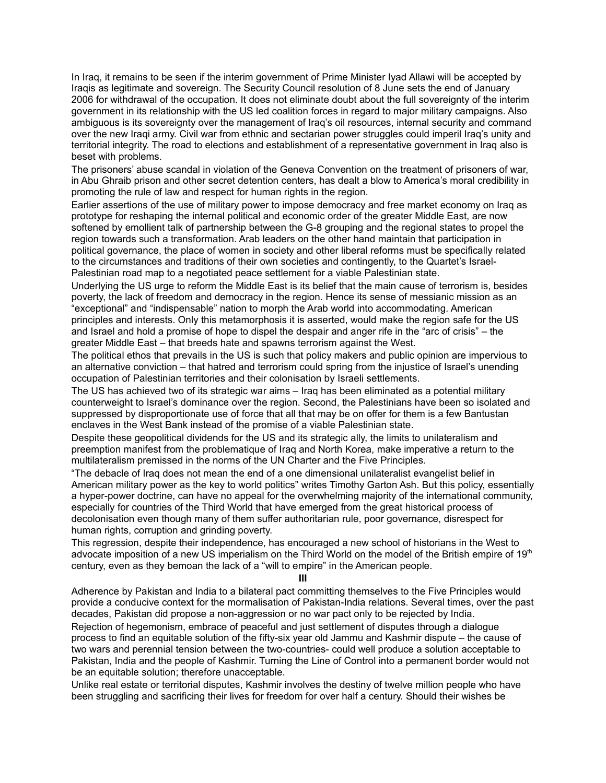In Iraq, it remains to be seen if the interim government of Prime Minister Iyad Allawi will be accepted by Iraqis as legitimate and sovereign. The Security Council resolution of 8 June sets the end of January 2006 for withdrawal of the occupation. It does not eliminate doubt about the full sovereignty of the interim government in its relationship with the US led coalition forces in regard to major military campaigns. Also ambiguous is its sovereignty over the management of Iraq's oil resources, internal security and command over the new Iraqi army. Civil war from ethnic and sectarian power struggles could imperil Iraq's unity and territorial integrity. The road to elections and establishment of a representative government in Iraq also is beset with problems.

The prisoners' abuse scandal in violation of the Geneva Convention on the treatment of prisoners of war, in Abu Ghraib prison and other secret detention centers, has dealt a blow to America's moral credibility in promoting the rule of law and respect for human rights in the region.

Earlier assertions of the use of military power to impose democracy and free market economy on Iraq as prototype for reshaping the internal political and economic order of the greater Middle East, are now softened by emollient talk of partnership between the G-8 grouping and the regional states to propel the region towards such a transformation. Arab leaders on the other hand maintain that participation in political governance, the place of women in society and other liberal reforms must be specifically related to the circumstances and traditions of their own societies and contingently, to the Quartet's Israel-Palestinian road map to a negotiated peace settlement for a viable Palestinian state.

Underlying the US urge to reform the Middle East is its belief that the main cause of terrorism is, besides poverty, the lack of freedom and democracy in the region. Hence its sense of messianic mission as an "exceptional" and "indispensable" nation to morph the Arab world into accommodating. American principles and interests. Only this metamorphosis it is asserted, would make the region safe for the US and Israel and hold a promise of hope to dispel the despair and anger rife in the "arc of crisis" – the greater Middle East – that breeds hate and spawns terrorism against the West.

The political ethos that prevails in the US is such that policy makers and public opinion are impervious to an alternative conviction – that hatred and terrorism could spring from the injustice of Israel's unending occupation of Palestinian territories and their colonisation by Israeli settlements.

The US has achieved two of its strategic war aims – Iraq has been eliminated as a potential military counterweight to Israel's dominance over the region. Second, the Palestinians have been so isolated and suppressed by disproportionate use of force that all that may be on offer for them is a few Bantustan enclaves in the West Bank instead of the promise of a viable Palestinian state.

Despite these geopolitical dividends for the US and its strategic ally, the limits to unilateralism and preemption manifest from the problematique of Iraq and North Korea, make imperative a return to the multilateralism premissed in the norms of the UN Charter and the Five Principles.

"The debacle of Iraq does not mean the end of a one dimensional unilateralist evangelist belief in American military power as the key to world politics" writes Timothy Garton Ash. But this policy, essentially a hyper-power doctrine, can have no appeal for the overwhelming majority of the international community, especially for countries of the Third World that have emerged from the great historical process of decolonisation even though many of them suffer authoritarian rule, poor governance, disrespect for human rights, corruption and grinding poverty.

This regression, despite their independence, has encouraged a new school of historians in the West to advocate imposition of a new US imperialism on the Third World on the model of the British empire of 19<sup>th</sup> century, even as they bemoan the lack of a "will to empire" in the American people.

**III**

Adherence by Pakistan and India to a bilateral pact committing themselves to the Five Principles would provide a conducive context for the mormalisation of Pakistan-India relations. Several times, over the past decades, Pakistan did propose a non-aggression or no war pact only to be rejected by India.

Rejection of hegemonism, embrace of peaceful and just settlement of disputes through a dialogue process to find an equitable solution of the fifty-six year old Jammu and Kashmir dispute – the cause of two wars and perennial tension between the two-countries- could well produce a solution acceptable to Pakistan, India and the people of Kashmir. Turning the Line of Control into a permanent border would not be an equitable solution; therefore unacceptable.

Unlike real estate or territorial disputes, Kashmir involves the destiny of twelve million people who have been struggling and sacrificing their lives for freedom for over half a century. Should their wishes be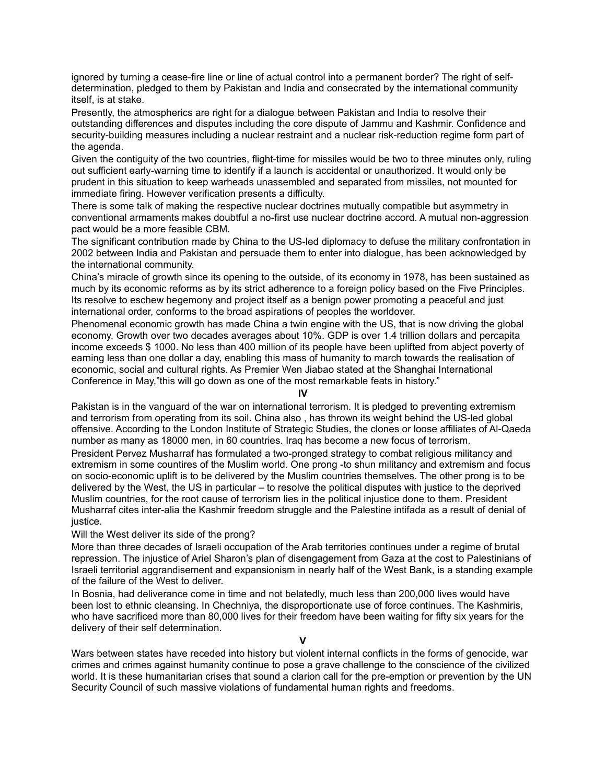ignored by turning a cease-fire line or line of actual control into a permanent border? The right of selfdetermination, pledged to them by Pakistan and India and consecrated by the international community itself, is at stake.

Presently, the atmospherics are right for a dialogue between Pakistan and India to resolve their outstanding differences and disputes including the core dispute of Jammu and Kashmir. Confidence and security-building measures including a nuclear restraint and a nuclear risk-reduction regime form part of the agenda.

Given the contiguity of the two countries, flight-time for missiles would be two to three minutes only, ruling out sufficient early-warning time to identify if a launch is accidental or unauthorized. It would only be prudent in this situation to keep warheads unassembled and separated from missiles, not mounted for immediate firing. However verification presents a difficulty.

There is some talk of making the respective nuclear doctrines mutually compatible but asymmetry in conventional armaments makes doubtful a no-first use nuclear doctrine accord. A mutual non-aggression pact would be a more feasible CBM.

The significant contribution made by China to the US-led diplomacy to defuse the military confrontation in 2002 between India and Pakistan and persuade them to enter into dialogue, has been acknowledged by the international community.

China's miracle of growth since its opening to the outside, of its economy in 1978, has been sustained as much by its economic reforms as by its strict adherence to a foreign policy based on the Five Principles. Its resolve to eschew hegemony and project itself as a benign power promoting a peaceful and just international order, conforms to the broad aspirations of peoples the worldover.

Phenomenal economic growth has made China a twin engine with the US, that is now driving the global economy. Growth over two decades averages about 10%. GDP is over 1.4 trillion dollars and percapita income exceeds \$ 1000. No less than 400 million of its people have been uplifted from abject poverty of earning less than one dollar a day, enabling this mass of humanity to march towards the realisation of economic, social and cultural rights. As Premier Wen Jiabao stated at the Shanghai International Conference in May,"this will go down as one of the most remarkable feats in history."

## **IV**

Pakistan is in the vanguard of the war on international terrorism. It is pledged to preventing extremism and terrorism from operating from its soil. China also , has thrown its weight behind the US-led global offensive. According to the London Institute of Strategic Studies, the clones or loose affiliates of Al-Qaeda number as many as 18000 men, in 60 countries. Iraq has become a new focus of terrorism.

President Pervez Musharraf has formulated a two-pronged strategy to combat religious militancy and extremism in some countires of the Muslim world. One prong -to shun militancy and extremism and focus on socio-economic uplift is to be delivered by the Muslim countries themselves. The other prong is to be delivered by the West, the US in particular – to resolve the political disputes with justice to the deprived Muslim countries, for the root cause of terrorism lies in the political injustice done to them. President Musharraf cites inter-alia the Kashmir freedom struggle and the Palestine intifada as a result of denial of justice.

## Will the West deliver its side of the prong?

More than three decades of Israeli occupation of the Arab territories continues under a regime of brutal repression. The injustice of Ariel Sharon's plan of disengagement from Gaza at the cost to Palestinians of Israeli territorial aggrandisement and expansionism in nearly half of the West Bank, is a standing example of the failure of the West to deliver.

In Bosnia, had deliverance come in time and not belatedly, much less than 200,000 lives would have been lost to ethnic cleansing. In Chechniya, the disproportionate use of force continues. The Kashmiris, who have sacrificed more than 80,000 lives for their freedom have been waiting for fifty six years for the delivery of their self determination.

**V**

Wars between states have receded into history but violent internal conflicts in the forms of genocide, war crimes and crimes against humanity continue to pose a grave challenge to the conscience of the civilized world. It is these humanitarian crises that sound a clarion call for the pre-emption or prevention by the UN Security Council of such massive violations of fundamental human rights and freedoms.